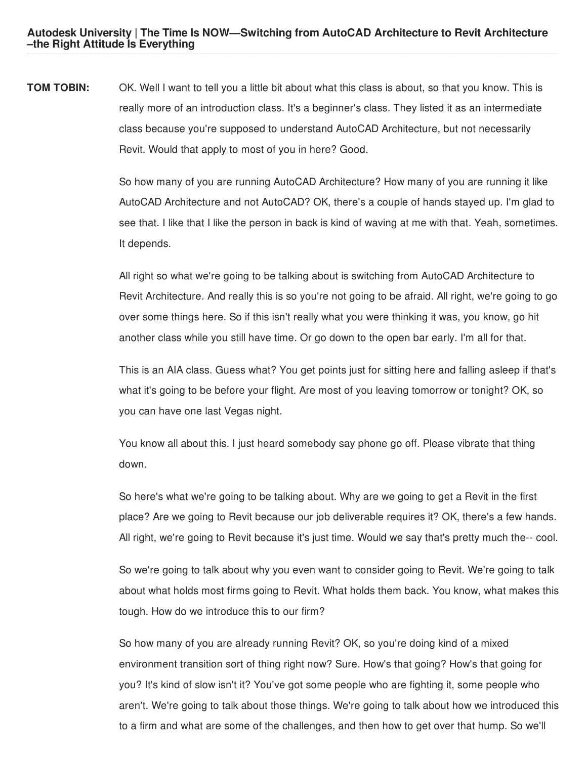**TOM TOBIN:** OK. Well I want to tell you a little bit about what this class is about, so that you know. This is really more of an introduction class. It's a beginner's class. They listed it as an intermediate class because you're supposed to understand AutoCAD Architecture, but not necessarily Revit. Would that apply to most of you in here? Good.

> So how many of you are running AutoCAD Architecture? How many of you are running it like AutoCAD Architecture and not AutoCAD? OK, there's a couple of hands stayed up. I'm glad to see that. I like that I like the person in back is kind of waving at me with that. Yeah, sometimes. It depends.

> All right so what we're going to be talking about is switching from AutoCAD Architecture to Revit Architecture. And really this is so you're not going to be afraid. All right, we're going to go over some things here. So if this isn't really what you were thinking it was, you know, go hit another class while you still have time. Or go down to the open bar early. I'm all for that.

> This is an AIA class. Guess what? You get points just for sitting here and falling asleep if that's what it's going to be before your flight. Are most of you leaving tomorrow or tonight? OK, so you can have one last Vegas night.

You know all about this. I just heard somebody say phone go off. Please vibrate that thing down.

So here's what we're going to be talking about. Why are we going to get a Revit in the first place? Are we going to Revit because our job deliverable requires it? OK, there's a few hands. All right, we're going to Revit because it's just time. Would we say that's pretty much the-- cool.

So we're going to talk about why you even want to consider going to Revit. We're going to talk about what holds most firms going to Revit. What holds them back. You know, what makes this tough. How do we introduce this to our firm?

So how many of you are already running Revit? OK, so you're doing kind of a mixed environment transition sort of thing right now? Sure. How's that going? How's that going for you? It's kind of slow isn't it? You've got some people who are fighting it, some people who aren't. We're going to talk about those things. We're going to talk about how we introduced this to a firm and what are some of the challenges, and then how to get over that hump. So we'll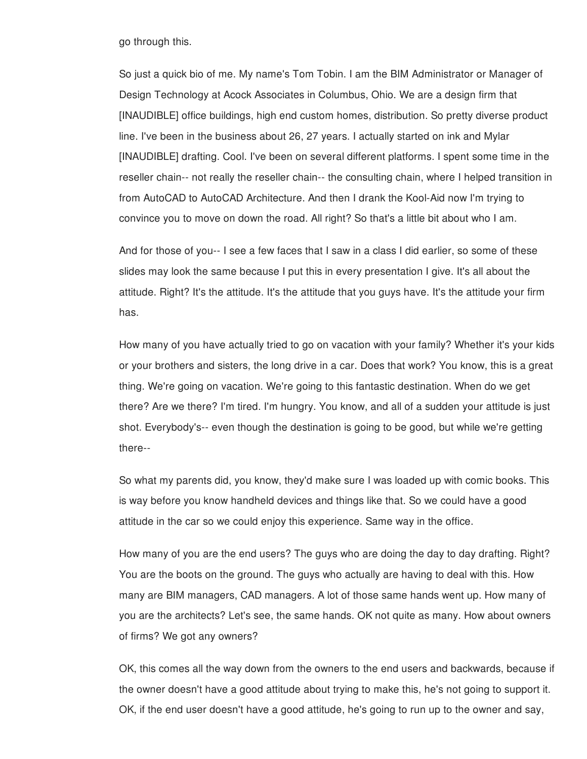go through this.

So just a quick bio of me. My name's Tom Tobin. I am the BIM Administrator or Manager of Design Technology at Acock Associates in Columbus, Ohio. We are a design firm that [INAUDIBLE] office buildings, high end custom homes, distribution. So pretty diverse product line. I've been in the business about 26, 27 years. I actually started on ink and Mylar [INAUDIBLE] drafting. Cool. I've been on several different platforms. I spent some time in the reseller chain-- not really the reseller chain-- the consulting chain, where I helped transition in from AutoCAD to AutoCAD Architecture. And then I drank the Kool-Aid now I'm trying to convince you to move on down the road. All right? So that's a little bit about who I am.

And for those of you-- I see a few faces that I saw in a class I did earlier, so some of these slides may look the same because I put this in every presentation I give. It's all about the attitude. Right? It's the attitude. It's the attitude that you guys have. It's the attitude your firm has.

How many of you have actually tried to go on vacation with your family? Whether it's your kids or your brothers and sisters, the long drive in a car. Does that work? You know, this is a great thing. We're going on vacation. We're going to this fantastic destination. When do we get there? Are we there? I'm tired. I'm hungry. You know, and all of a sudden your attitude is just shot. Everybody's-- even though the destination is going to be good, but while we're getting there--

So what my parents did, you know, they'd make sure I was loaded up with comic books. This is way before you know handheld devices and things like that. So we could have a good attitude in the car so we could enjoy this experience. Same way in the office.

How many of you are the end users? The guys who are doing the day to day drafting. Right? You are the boots on the ground. The guys who actually are having to deal with this. How many are BIM managers, CAD managers. A lot of those same hands went up. How many of you are the architects? Let's see, the same hands. OK not quite as many. How about owners of firms? We got any owners?

OK, this comes all the way down from the owners to the end users and backwards, because if the owner doesn't have a good attitude about trying to make this, he's not going to support it. OK, if the end user doesn't have a good attitude, he's going to run up to the owner and say,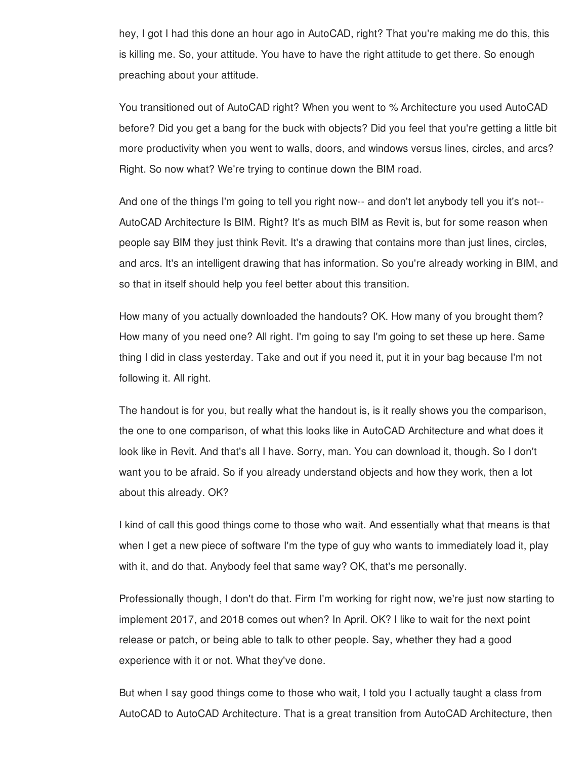hey, I got I had this done an hour ago in AutoCAD, right? That you're making me do this, this is killing me. So, your attitude. You have to have the right attitude to get there. So enough preaching about your attitude.

You transitioned out of AutoCAD right? When you went to % Architecture you used AutoCAD before? Did you get a bang for the buck with objects? Did you feel that you're getting a little bit more productivity when you went to walls, doors, and windows versus lines, circles, and arcs? Right. So now what? We're trying to continue down the BIM road.

And one of the things I'm going to tell you right now-- and don't let anybody tell you it's not-- AutoCAD Architecture Is BIM. Right? It's as much BIM as Revit is, but for some reason when people say BIM they just think Revit. It's a drawing that contains more than just lines, circles, and arcs. It's an intelligent drawing that has information. So you're already working in BIM, and so that in itself should help you feel better about this transition.

How many of you actually downloaded the handouts? OK. How many of you brought them? How many of you need one? All right. I'm going to say I'm going to set these up here. Same thing I did in class yesterday. Take and out if you need it, put it in your bag because I'm not following it. All right.

The handout is for you, but really what the handout is, is it really shows you the comparison, the one to one comparison, of what this looks like in AutoCAD Architecture and what does it look like in Revit. And that's all I have. Sorry, man. You can download it, though. So I don't want you to be afraid. So if you already understand objects and how they work, then a lot about this already. OK?

I kind of call this good things come to those who wait. And essentially what that means is that when I get a new piece of software I'm the type of guy who wants to immediately load it, play with it, and do that. Anybody feel that same way? OK, that's me personally.

Professionally though, I don't do that. Firm I'm working for right now, we're just now starting to implement 2017, and 2018 comes out when? In April. OK? I like to wait for the next point release or patch, or being able to talk to other people. Say, whether they had a good experience with it or not. What they've done.

But when I say good things come to those who wait, I told you I actually taught a class from AutoCAD to AutoCAD Architecture. That is a great transition from AutoCAD Architecture, then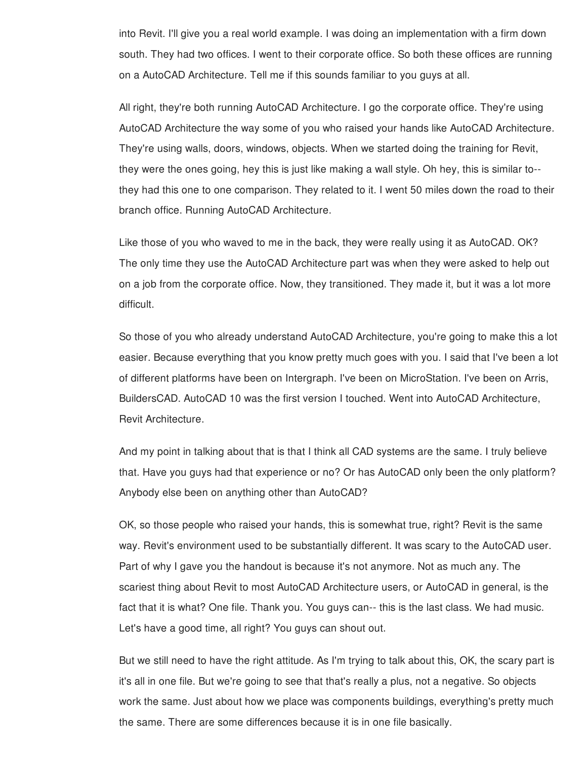into Revit. I'll give you a real world example. I was doing an implementation with a firm down south. They had two offices. I went to their corporate office. So both these offices are running on a AutoCAD Architecture. Tell me if this sounds familiar to you guys at all.

All right, they're both running AutoCAD Architecture. I go the corporate office. They're using AutoCAD Architecture the way some of you who raised your hands like AutoCAD Architecture. They're using walls, doors, windows, objects. When we started doing the training for Revit, they were the ones going, hey this is just like making a wall style. Oh hey, this is similar to- they had this one to one comparison. They related to it. I went 50 miles down the road to their branch office. Running AutoCAD Architecture.

Like those of you who waved to me in the back, they were really using it as AutoCAD. OK? The only time they use the AutoCAD Architecture part was when they were asked to help out on a job from the corporate office. Now, they transitioned. They made it, but it was a lot more difficult.

So those of you who already understand AutoCAD Architecture, you're going to make this a lot easier. Because everything that you know pretty much goes with you. I said that I've been a lot of different platforms have been on Intergraph. I've been on MicroStation. I've been on Arris, BuildersCAD. AutoCAD 10 was the first version I touched. Went into AutoCAD Architecture, Revit Architecture.

And my point in talking about that is that I think all CAD systems are the same. I truly believe that. Have you guys had that experience or no? Or has AutoCAD only been the only platform? Anybody else been on anything other than AutoCAD?

OK, so those people who raised your hands, this is somewhat true, right? Revit is the same way. Revit's environment used to be substantially different. It was scary to the AutoCAD user. Part of why I gave you the handout is because it's not anymore. Not as much any. The scariest thing about Revit to most AutoCAD Architecture users, or AutoCAD in general, is the fact that it is what? One file. Thank you. You guys can-- this is the last class. We had music. Let's have a good time, all right? You guys can shout out.

But we still need to have the right attitude. As I'm trying to talk about this, OK, the scary part is it's all in one file. But we're going to see that that's really a plus, not a negative. So objects work the same. Just about how we place was components buildings, everything's pretty much the same. There are some differences because it is in one file basically.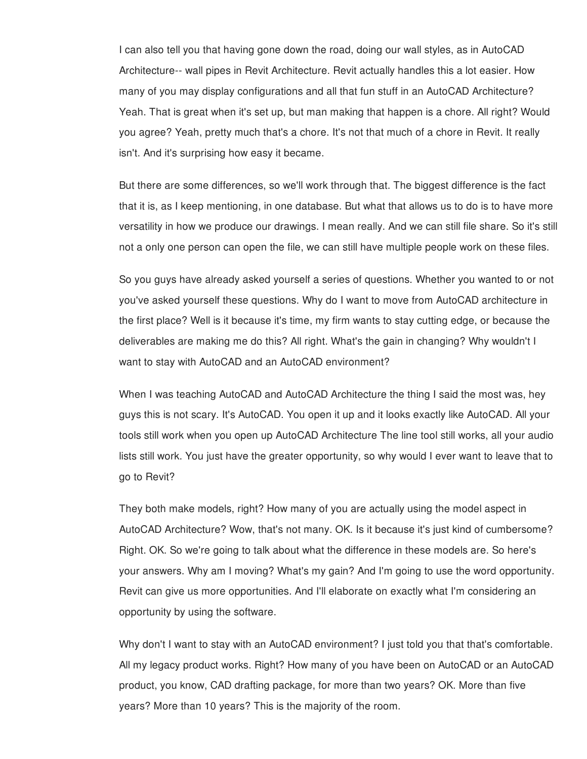I can also tell you that having gone down the road, doing our wall styles, as in AutoCAD Architecture-- wall pipes in Revit Architecture. Revit actually handles this a lot easier. How many of you may display configurations and all that fun stuff in an AutoCAD Architecture? Yeah. That is great when it's set up, but man making that happen is a chore. All right? Would you agree? Yeah, pretty much that's a chore. It's not that much of a chore in Revit. It really isn't. And it's surprising how easy it became.

But there are some differences, so we'll work through that. The biggest difference is the fact that it is, as I keep mentioning, in one database. But what that allows us to do is to have more versatility in how we produce our drawings. I mean really. And we can still file share. So it's still not a only one person can open the file, we can still have multiple people work on these files.

So you guys have already asked yourself a series of questions. Whether you wanted to or not you've asked yourself these questions. Why do I want to move from AutoCAD architecture in the first place? Well is it because it's time, my firm wants to stay cutting edge, or because the deliverables are making me do this? All right. What's the gain in changing? Why wouldn't I want to stay with AutoCAD and an AutoCAD environment?

When I was teaching AutoCAD and AutoCAD Architecture the thing I said the most was, hey guys this is not scary. It's AutoCAD. You open it up and it looks exactly like AutoCAD. All your tools still work when you open up AutoCAD Architecture The line tool still works, all your audio lists still work. You just have the greater opportunity, so why would I ever want to leave that to go to Revit?

They both make models, right? How many of you are actually using the model aspect in AutoCAD Architecture? Wow, that's not many. OK. Is it because it's just kind of cumbersome? Right. OK. So we're going to talk about what the difference in these models are. So here's your answers. Why am I moving? What's my gain? And I'm going to use the word opportunity. Revit can give us more opportunities. And I'll elaborate on exactly what I'm considering an opportunity by using the software.

Why don't I want to stay with an AutoCAD environment? I just told you that that's comfortable. All my legacy product works. Right? How many of you have been on AutoCAD or an AutoCAD product, you know, CAD drafting package, for more than two years? OK. More than five years? More than 10 years? This is the majority of the room.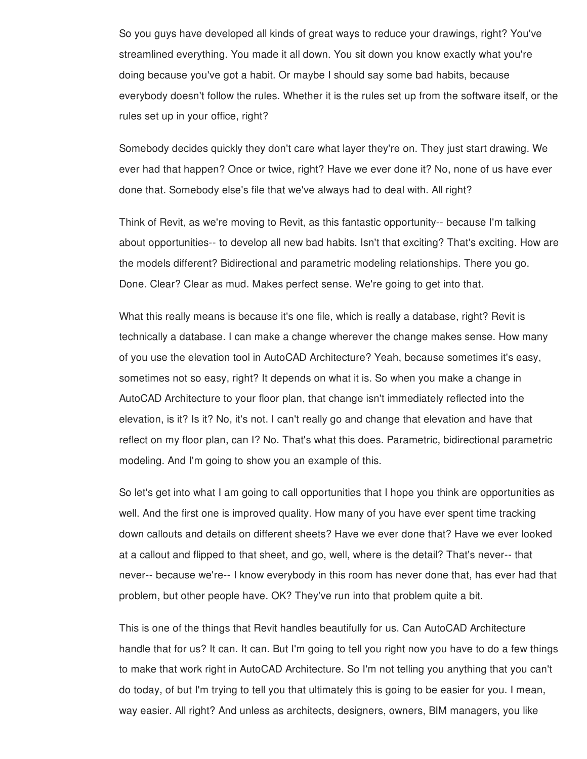So you guys have developed all kinds of great ways to reduce your drawings, right? You've streamlined everything. You made it all down. You sit down you know exactly what you're doing because you've got a habit. Or maybe I should say some bad habits, because everybody doesn't follow the rules. Whether it is the rules set up from the software itself, or the rules set up in your office, right?

Somebody decides quickly they don't care what layer they're on. They just start drawing. We ever had that happen? Once or twice, right? Have we ever done it? No, none of us have ever done that. Somebody else's file that we've always had to deal with. All right?

Think of Revit, as we're moving to Revit, as this fantastic opportunity-- because I'm talking about opportunities-- to develop all new bad habits. Isn't that exciting? That's exciting. How are the models different? Bidirectional and parametric modeling relationships. There you go. Done. Clear? Clear as mud. Makes perfect sense. We're going to get into that.

What this really means is because it's one file, which is really a database, right? Revit is technically a database. I can make a change wherever the change makes sense. How many of you use the elevation tool in AutoCAD Architecture? Yeah, because sometimes it's easy, sometimes not so easy, right? It depends on what it is. So when you make a change in AutoCAD Architecture to your floor plan, that change isn't immediately reflected into the elevation, is it? Is it? No, it's not. I can't really go and change that elevation and have that reflect on my floor plan, can I? No. That's what this does. Parametric, bidirectional parametric modeling. And I'm going to show you an example of this.

So let's get into what I am going to call opportunities that I hope you think are opportunities as well. And the first one is improved quality. How many of you have ever spent time tracking down callouts and details on different sheets? Have we ever done that? Have we ever looked at a callout and flipped to that sheet, and go, well, where is the detail? That's never-- that never-- because we're-- I know everybody in this room has never done that, has ever had that problem, but other people have. OK? They've run into that problem quite a bit.

This is one of the things that Revit handles beautifully for us. Can AutoCAD Architecture handle that for us? It can. It can. But I'm going to tell you right now you have to do a few things to make that work right in AutoCAD Architecture. So I'm not telling you anything that you can't do today, of but I'm trying to tell you that ultimately this is going to be easier for you. I mean, way easier. All right? And unless as architects, designers, owners, BIM managers, you like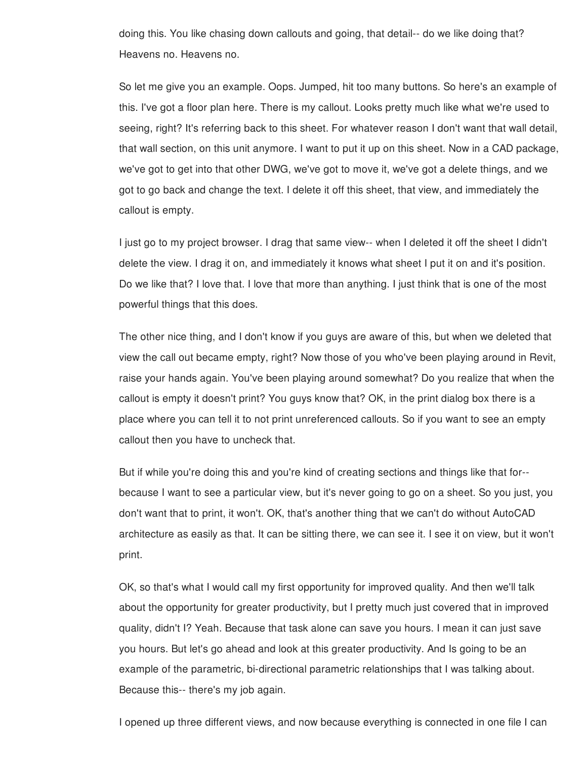doing this. You like chasing down callouts and going, that detail-- do we like doing that? Heavens no. Heavens no.

So let me give you an example. Oops. Jumped, hit too many buttons. So here's an example of this. I've got a floor plan here. There is my callout. Looks pretty much like what we're used to seeing, right? It's referring back to this sheet. For whatever reason I don't want that wall detail, that wall section, on this unit anymore. I want to put it up on this sheet. Now in a CAD package, we've got to get into that other DWG, we've got to move it, we've got a delete things, and we got to go back and change the text. I delete it off this sheet, that view, and immediately the callout is empty.

I just go to my project browser. I drag that same view-- when I deleted it off the sheet I didn't delete the view. I drag it on, and immediately it knows what sheet I put it on and it's position. Do we like that? I love that. I love that more than anything. I just think that is one of the most powerful things that this does.

The other nice thing, and I don't know if you guys are aware of this, but when we deleted that view the call out became empty, right? Now those of you who've been playing around in Revit, raise your hands again. You've been playing around somewhat? Do you realize that when the callout is empty it doesn't print? You guys know that? OK, in the print dialog box there is a place where you can tell it to not print unreferenced callouts. So if you want to see an empty callout then you have to uncheck that.

But if while you're doing this and you're kind of creating sections and things like that for- because I want to see a particular view, but it's never going to go on a sheet. So you just, you don't want that to print, it won't. OK, that's another thing that we can't do without AutoCAD architecture as easily as that. It can be sitting there, we can see it. I see it on view, but it won't print.

OK, so that's what I would call my first opportunity for improved quality. And then we'll talk about the opportunity for greater productivity, but I pretty much just covered that in improved quality, didn't I? Yeah. Because that task alone can save you hours. I mean it can just save you hours. But let's go ahead and look at this greater productivity. And Is going to be an example of the parametric, bi-directional parametric relationships that I was talking about. Because this-- there's my job again.

I opened up three different views, and now because everything is connected in one file I can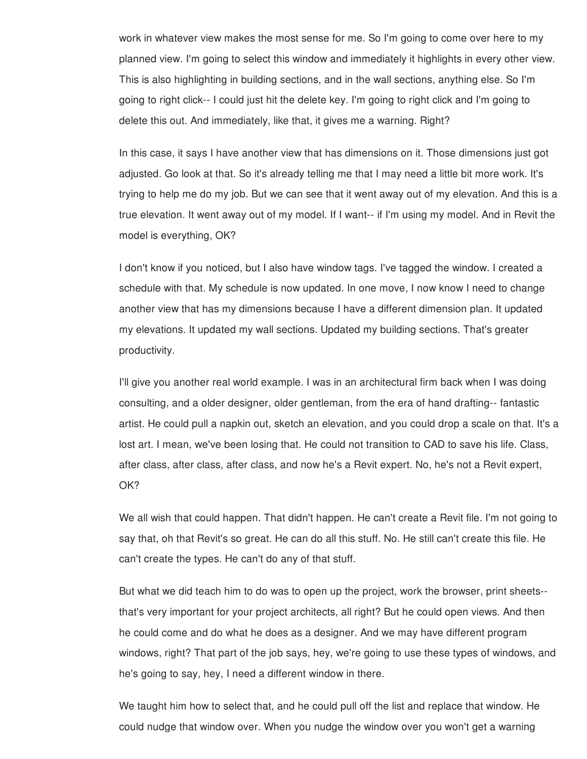work in whatever view makes the most sense for me. So I'm going to come over here to my planned view. I'm going to select this window and immediately it highlights in every other view. This is also highlighting in building sections, and in the wall sections, anything else. So I'm going to right click-- I could just hit the delete key. I'm going to right click and I'm going to delete this out. And immediately, like that, it gives me a warning. Right?

In this case, it says I have another view that has dimensions on it. Those dimensions just got adjusted. Go look at that. So it's already telling me that I may need a little bit more work. It's trying to help me do my job. But we can see that it went away out of my elevation. And this is a true elevation. It went away out of my model. If I want-- if I'm using my model. And in Revit the model is everything, OK?

I don't know if you noticed, but I also have window tags. I've tagged the window. I created a schedule with that. My schedule is now updated. In one move, I now know I need to change another view that has my dimensions because I have a different dimension plan. It updated my elevations. It updated my wall sections. Updated my building sections. That's greater productivity.

I'll give you another real world example. I was in an architectural firm back when I was doing consulting, and a older designer, older gentleman, from the era of hand drafting-- fantastic artist. He could pull a napkin out, sketch an elevation, and you could drop a scale on that. It's a lost art. I mean, we've been losing that. He could not transition to CAD to save his life. Class, after class, after class, after class, and now he's a Revit expert. No, he's not a Revit expert, OK?

We all wish that could happen. That didn't happen. He can't create a Revit file. I'm not going to say that, oh that Revit's so great. He can do all this stuff. No. He still can't create this file. He can't create the types. He can't do any of that stuff.

But what we did teach him to do was to open up the project, work the browser, print sheets- that's very important for your project architects, all right? But he could open views. And then he could come and do what he does as a designer. And we may have different program windows, right? That part of the job says, hey, we're going to use these types of windows, and he's going to say, hey, I need a different window in there.

We taught him how to select that, and he could pull off the list and replace that window. He could nudge that window over. When you nudge the window over you won't get a warning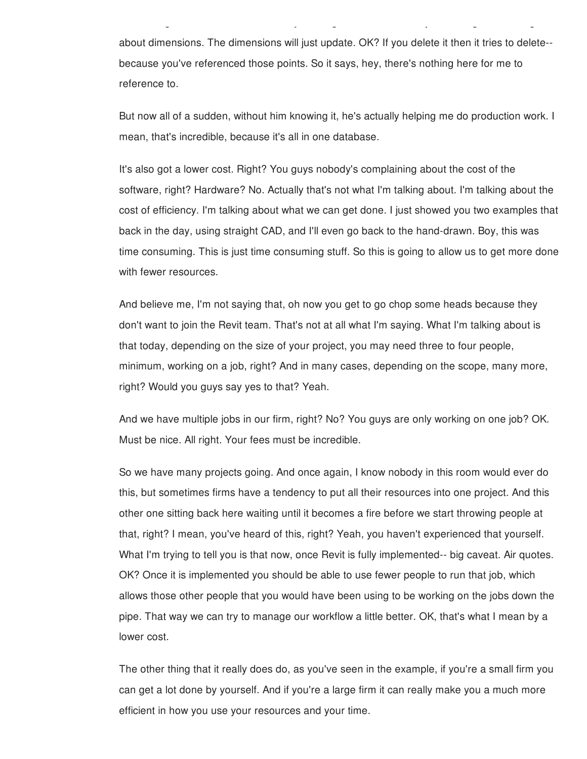about dimensions. The dimensions will just update. OK? If you delete it then it tries to delete- because you've referenced those points. So it says, hey, there's nothing here for me to reference to.

could nudge that window over. When you nudge the window over you won't get a warning

But now all of a sudden, without him knowing it, he's actually helping me do production work. I mean, that's incredible, because it's all in one database.

It's also got a lower cost. Right? You guys nobody's complaining about the cost of the software, right? Hardware? No. Actually that's not what I'm talking about. I'm talking about the cost of efficiency. I'm talking about what we can get done. I just showed you two examples that back in the day, using straight CAD, and I'll even go back to the hand-drawn. Boy, this was time consuming. This is just time consuming stuff. So this is going to allow us to get more done with fewer resources.

And believe me, I'm not saying that, oh now you get to go chop some heads because they don't want to join the Revit team. That's not at all what I'm saying. What I'm talking about is that today, depending on the size of your project, you may need three to four people, minimum, working on a job, right? And in many cases, depending on the scope, many more, right? Would you guys say yes to that? Yeah.

And we have multiple jobs in our firm, right? No? You guys are only working on one job? OK. Must be nice. All right. Your fees must be incredible.

So we have many projects going. And once again, I know nobody in this room would ever do this, but sometimes firms have a tendency to put all their resources into one project. And this other one sitting back here waiting until it becomes a fire before we start throwing people at that, right? I mean, you've heard of this, right? Yeah, you haven't experienced that yourself. What I'm trying to tell you is that now, once Revit is fully implemented-- big caveat. Air quotes. OK? Once it is implemented you should be able to use fewer people to run that job, which allows those other people that you would have been using to be working on the jobs down the pipe. That way we can try to manage our workflow a little better. OK, that's what I mean by a lower cost.

The other thing that it really does do, as you've seen in the example, if you're a small firm you can get a lot done by yourself. And if you're a large firm it can really make you a much more efficient in how you use your resources and your time.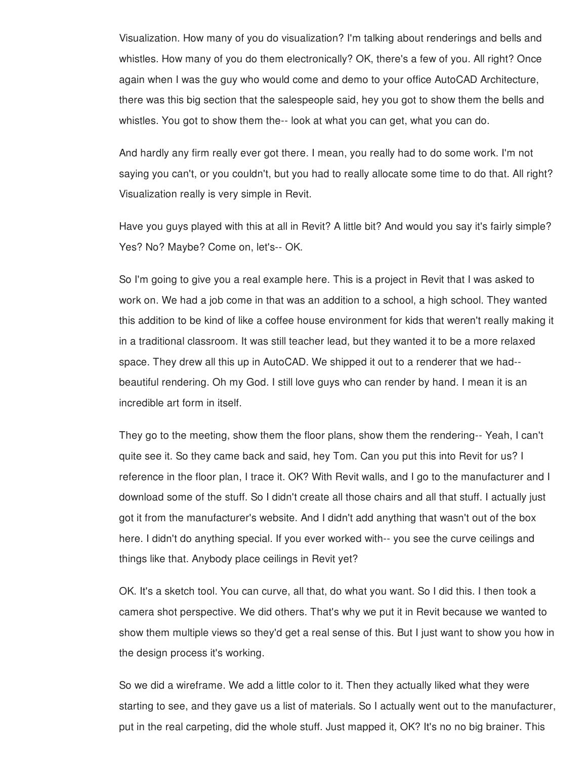Visualization. How many of you do visualization? I'm talking about renderings and bells and whistles. How many of you do them electronically? OK, there's a few of you. All right? Once again when I was the guy who would come and demo to your office AutoCAD Architecture, there was this big section that the salespeople said, hey you got to show them the bells and whistles. You got to show them the-- look at what you can get, what you can do.

And hardly any firm really ever got there. I mean, you really had to do some work. I'm not saying you can't, or you couldn't, but you had to really allocate some time to do that. All right? Visualization really is very simple in Revit.

Have you guys played with this at all in Revit? A little bit? And would you say it's fairly simple? Yes? No? Maybe? Come on, let's-- OK.

So I'm going to give you a real example here. This is a project in Revit that I was asked to work on. We had a job come in that was an addition to a school, a high school. They wanted this addition to be kind of like a coffee house environment for kids that weren't really making it in a traditional classroom. It was still teacher lead, but they wanted it to be a more relaxed space. They drew all this up in AutoCAD. We shipped it out to a renderer that we had- beautiful rendering. Oh my God. I still love guys who can render by hand. I mean it is an incredible art form in itself.

They go to the meeting, show them the floor plans, show them the rendering-- Yeah, I can't quite see it. So they came back and said, hey Tom. Can you put this into Revit for us? I reference in the floor plan, I trace it. OK? With Revit walls, and I go to the manufacturer and I download some of the stuff. So I didn't create all those chairs and all that stuff. I actually just got it from the manufacturer's website. And I didn't add anything that wasn't out of the box here. I didn't do anything special. If you ever worked with-- you see the curve ceilings and things like that. Anybody place ceilings in Revit yet?

OK. It's a sketch tool. You can curve, all that, do what you want. So I did this. I then took a camera shot perspective. We did others. That's why we put it in Revit because we wanted to show them multiple views so they'd get a real sense of this. But I just want to show you how in the design process it's working.

So we did a wireframe. We add a little color to it. Then they actually liked what they were starting to see, and they gave us a list of materials. So I actually went out to the manufacturer, put in the real carpeting, did the whole stuff. Just mapped it, OK? It's no no big brainer. This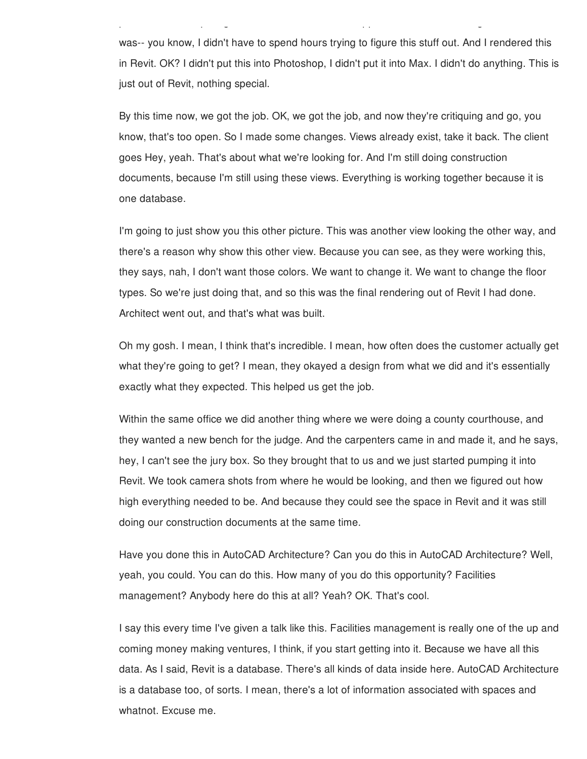was-- you know, I didn't have to spend hours trying to figure this stuff out. And I rendered this in Revit. OK? I didn't put this into Photoshop, I didn't put it into Max. I didn't do anything. This is just out of Revit, nothing special.

put in the real carpeting, did the whole stuff. Just mapped it, OK? It's no no big brainer. This

By this time now, we got the job. OK, we got the job, and now they're critiquing and go, you know, that's too open. So I made some changes. Views already exist, take it back. The client goes Hey, yeah. That's about what we're looking for. And I'm still doing construction documents, because I'm still using these views. Everything is working together because it is one database.

I'm going to just show you this other picture. This was another view looking the other way, and there's a reason why show this other view. Because you can see, as they were working this, they says, nah, I don't want those colors. We want to change it. We want to change the floor types. So we're just doing that, and so this was the final rendering out of Revit I had done. Architect went out, and that's what was built.

Oh my gosh. I mean, I think that's incredible. I mean, how often does the customer actually get what they're going to get? I mean, they okayed a design from what we did and it's essentially exactly what they expected. This helped us get the job.

Within the same office we did another thing where we were doing a county courthouse, and they wanted a new bench for the judge. And the carpenters came in and made it, and he says, hey, I can't see the jury box. So they brought that to us and we just started pumping it into Revit. We took camera shots from where he would be looking, and then we figured out how high everything needed to be. And because they could see the space in Revit and it was still doing our construction documents at the same time.

Have you done this in AutoCAD Architecture? Can you do this in AutoCAD Architecture? Well, yeah, you could. You can do this. How many of you do this opportunity? Facilities management? Anybody here do this at all? Yeah? OK. That's cool.

I say this every time I've given a talk like this. Facilities management is really one of the up and coming money making ventures, I think, if you start getting into it. Because we have all this data. As I said, Revit is a database. There's all kinds of data inside here. AutoCAD Architecture is a database too, of sorts. I mean, there's a lot of information associated with spaces and whatnot. Excuse me.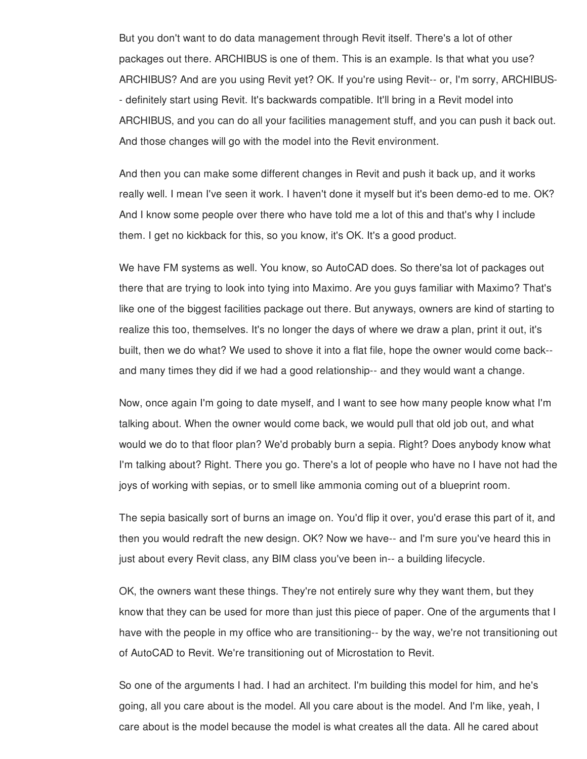But you don't want to do data management through Revit itself. There's a lot of other packages out there. ARCHIBUS is one of them. This is an example. Is that what you use? ARCHIBUS? And are you using Revit yet? OK. If you're using Revit-- or, I'm sorry, ARCHIBUS- - definitely start using Revit. It's backwards compatible. It'll bring in a Revit model into ARCHIBUS, and you can do all your facilities management stuff, and you can push it back out. And those changes will go with the model into the Revit environment.

And then you can make some different changes in Revit and push it back up, and it works really well. I mean I've seen it work. I haven't done it myself but it's been demo-ed to me. OK? And I know some people over there who have told me a lot of this and that's why I include them. I get no kickback for this, so you know, it's OK. It's a good product.

We have FM systems as well. You know, so AutoCAD does. So there'sa lot of packages out there that are trying to look into tying into Maximo. Are you guys familiar with Maximo? That's like one of the biggest facilities package out there. But anyways, owners are kind of starting to realize this too, themselves. It's no longer the days of where we draw a plan, print it out, it's built, then we do what? We used to shove it into a flat file, hope the owner would come back- and many times they did if we had a good relationship-- and they would want a change.

Now, once again I'm going to date myself, and I want to see how many people know what I'm talking about. When the owner would come back, we would pull that old job out, and what would we do to that floor plan? We'd probably burn a sepia. Right? Does anybody know what I'm talking about? Right. There you go. There's a lot of people who have no I have not had the joys of working with sepias, or to smell like ammonia coming out of a blueprint room.

The sepia basically sort of burns an image on. You'd flip it over, you'd erase this part of it, and then you would redraft the new design. OK? Now we have-- and I'm sure you've heard this in just about every Revit class, any BIM class you've been in-- a building lifecycle.

OK, the owners want these things. They're not entirely sure why they want them, but they know that they can be used for more than just this piece of paper. One of the arguments that I have with the people in my office who are transitioning-- by the way, we're not transitioning out of AutoCAD to Revit. We're transitioning out of Microstation to Revit.

So one of the arguments I had. I had an architect. I'm building this model for him, and he's going, all you care about is the model. All you care about is the model. And I'm like, yeah, I care about is the model because the model is what creates all the data. All he cared about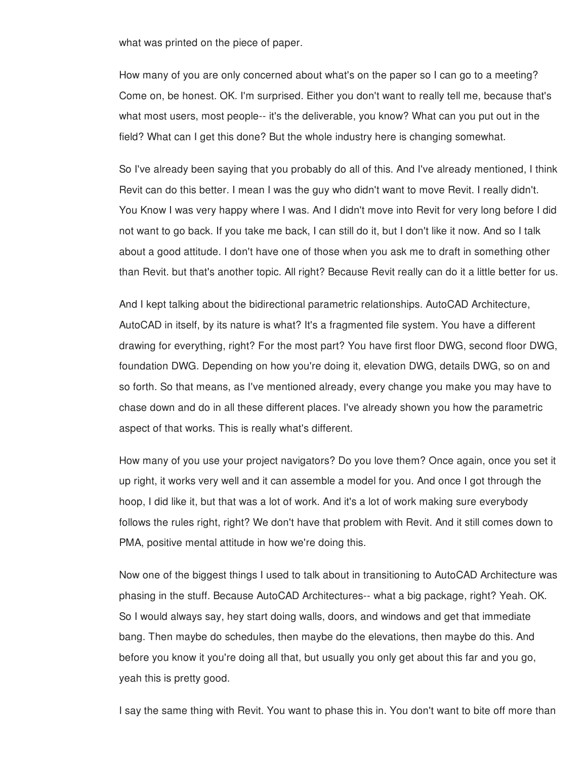what was printed on the piece of paper.

How many of you are only concerned about what's on the paper so I can go to a meeting? Come on, be honest. OK. I'm surprised. Either you don't want to really tell me, because that's what most users, most people-- it's the deliverable, you know? What can you put out in the field? What can I get this done? But the whole industry here is changing somewhat.

So I've already been saying that you probably do all of this. And I've already mentioned, I think Revit can do this better. I mean I was the guy who didn't want to move Revit. I really didn't. You Know I was very happy where I was. And I didn't move into Revit for very long before I did not want to go back. If you take me back, I can still do it, but I don't like it now. And so I talk about a good attitude. I don't have one of those when you ask me to draft in something other than Revit. but that's another topic. All right? Because Revit really can do it a little better for us.

And I kept talking about the bidirectional parametric relationships. AutoCAD Architecture, AutoCAD in itself, by its nature is what? It's a fragmented file system. You have a different drawing for everything, right? For the most part? You have first floor DWG, second floor DWG, foundation DWG. Depending on how you're doing it, elevation DWG, details DWG, so on and so forth. So that means, as I've mentioned already, every change you make you may have to chase down and do in all these different places. I've already shown you how the parametric aspect of that works. This is really what's different.

How many of you use your project navigators? Do you love them? Once again, once you set it up right, it works very well and it can assemble a model for you. And once I got through the hoop, I did like it, but that was a lot of work. And it's a lot of work making sure everybody follows the rules right, right? We don't have that problem with Revit. And it still comes down to PMA, positive mental attitude in how we're doing this.

Now one of the biggest things I used to talk about in transitioning to AutoCAD Architecture was phasing in the stuff. Because AutoCAD Architectures-- what a big package, right? Yeah. OK. So I would always say, hey start doing walls, doors, and windows and get that immediate bang. Then maybe do schedules, then maybe do the elevations, then maybe do this. And before you know it you're doing all that, but usually you only get about this far and you go, yeah this is pretty good.

I say the same thing with Revit. You want to phase this in. You don't want to bite off more than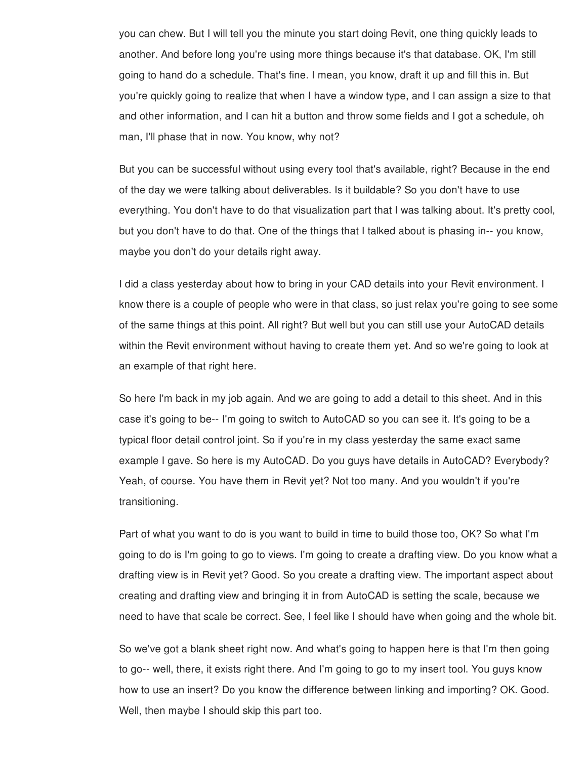you can chew. But I will tell you the minute you start doing Revit, one thing quickly leads to another. And before long you're using more things because it's that database. OK, I'm still going to hand do a schedule. That's fine. I mean, you know, draft it up and fill this in. But you're quickly going to realize that when I have a window type, and I can assign a size to that and other information, and I can hit a button and throw some fields and I got a schedule, oh man, I'll phase that in now. You know, why not?

But you can be successful without using every tool that's available, right? Because in the end of the day we were talking about deliverables. Is it buildable? So you don't have to use everything. You don't have to do that visualization part that I was talking about. It's pretty cool, but you don't have to do that. One of the things that I talked about is phasing in-- you know, maybe you don't do your details right away.

I did a class yesterday about how to bring in your CAD details into your Revit environment. I know there is a couple of people who were in that class, so just relax you're going to see some of the same things at this point. All right? But well but you can still use your AutoCAD details within the Revit environment without having to create them yet. And so we're going to look at an example of that right here.

So here I'm back in my job again. And we are going to add a detail to this sheet. And in this case it's going to be-- I'm going to switch to AutoCAD so you can see it. It's going to be a typical floor detail control joint. So if you're in my class yesterday the same exact same example I gave. So here is my AutoCAD. Do you guys have details in AutoCAD? Everybody? Yeah, of course. You have them in Revit yet? Not too many. And you wouldn't if you're transitioning.

Part of what you want to do is you want to build in time to build those too, OK? So what I'm going to do is I'm going to go to views. I'm going to create a drafting view. Do you know what a drafting view is in Revit yet? Good. So you create a drafting view. The important aspect about creating and drafting view and bringing it in from AutoCAD is setting the scale, because we need to have that scale be correct. See, I feel like I should have when going and the whole bit.

So we've got a blank sheet right now. And what's going to happen here is that I'm then going to go-- well, there, it exists right there. And I'm going to go to my insert tool. You guys know how to use an insert? Do you know the difference between linking and importing? OK. Good. Well, then maybe I should skip this part too.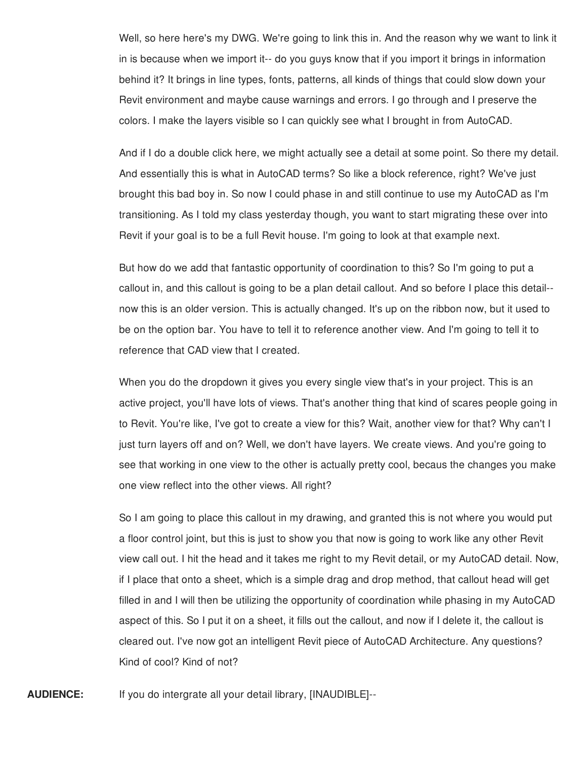Well, so here here's my DWG. We're going to link this in. And the reason why we want to link it in is because when we import it-- do you guys know that if you import it brings in information behind it? It brings in line types, fonts, patterns, all kinds of things that could slow down your Revit environment and maybe cause warnings and errors. I go through and I preserve the colors. I make the layers visible so I can quickly see what I brought in from AutoCAD.

And if I do a double click here, we might actually see a detail at some point. So there my detail. And essentially this is what in AutoCAD terms? So like a block reference, right? We've just brought this bad boy in. So now I could phase in and still continue to use my AutoCAD as I'm transitioning. As I told my class yesterday though, you want to start migrating these over into Revit if your goal is to be a full Revit house. I'm going to look at that example next.

But how do we add that fantastic opportunity of coordination to this? So I'm going to put a callout in, and this callout is going to be a plan detail callout. And so before I place this detail- now this is an older version. This is actually changed. It's up on the ribbon now, but it used to be on the option bar. You have to tell it to reference another view. And I'm going to tell it to reference that CAD view that I created.

When you do the dropdown it gives you every single view that's in your project. This is an active project, you'll have lots of views. That's another thing that kind of scares people going in to Revit. You're like, I've got to create a view for this? Wait, another view for that? Why can't I just turn layers off and on? Well, we don't have layers. We create views. And you're going to see that working in one view to the other is actually pretty cool, becaus the changes you make one view reflect into the other views. All right?

So I am going to place this callout in my drawing, and granted this is not where you would put a floor control joint, but this is just to show you that now is going to work like any other Revit view call out. I hit the head and it takes me right to my Revit detail, or my AutoCAD detail. Now, if I place that onto a sheet, which is a simple drag and drop method, that callout head will get filled in and I will then be utilizing the opportunity of coordination while phasing in my AutoCAD aspect of this. So I put it on a sheet, it fills out the callout, and now if I delete it, the callout is cleared out. I've now got an intelligent Revit piece of AutoCAD Architecture. Any questions? Kind of cool? Kind of not?

**AUDIENCE:** If you do intergrate all your detail library, [INAUDIBLE]--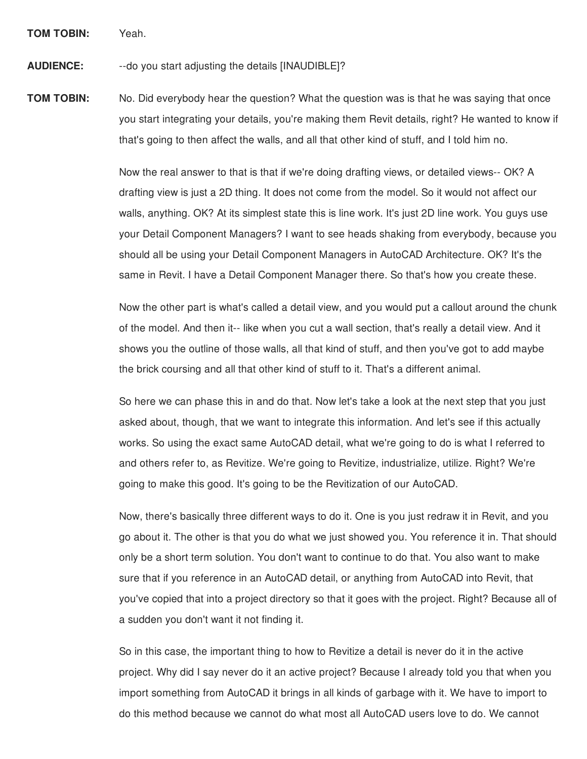**TOM TOBIN:** Yeah.

**AUDIENCE:** --do you start adjusting the details [INAUDIBLE]?

**TOM TOBIN:** No. Did everybody hear the question? What the question was is that he was saying that once you start integrating your details, you're making them Revit details, right? He wanted to know if that's going to then affect the walls, and all that other kind of stuff, and I told him no.

> Now the real answer to that is that if we're doing drafting views, or detailed views-- OK? A drafting view is just a 2D thing. It does not come from the model. So it would not affect our walls, anything. OK? At its simplest state this is line work. It's just 2D line work. You guys use your Detail Component Managers? I want to see heads shaking from everybody, because you should all be using your Detail Component Managers in AutoCAD Architecture. OK? It's the same in Revit. I have a Detail Component Manager there. So that's how you create these.

> Now the other part is what's called a detail view, and you would put a callout around the chunk of the model. And then it-- like when you cut a wall section, that's really a detail view. And it shows you the outline of those walls, all that kind of stuff, and then you've got to add maybe the brick coursing and all that other kind of stuff to it. That's a different animal.

So here we can phase this in and do that. Now let's take a look at the next step that you just asked about, though, that we want to integrate this information. And let's see if this actually works. So using the exact same AutoCAD detail, what we're going to do is what I referred to and others refer to, as Revitize. We're going to Revitize, industrialize, utilize. Right? We're going to make this good. It's going to be the Revitization of our AutoCAD.

Now, there's basically three different ways to do it. One is you just redraw it in Revit, and you go about it. The other is that you do what we just showed you. You reference it in. That should only be a short term solution. You don't want to continue to do that. You also want to make sure that if you reference in an AutoCAD detail, or anything from AutoCAD into Revit, that you've copied that into a project directory so that it goes with the project. Right? Because all of a sudden you don't want it not finding it.

So in this case, the important thing to how to Revitize a detail is never do it in the active project. Why did I say never do it an active project? Because I already told you that when you import something from AutoCAD it brings in all kinds of garbage with it. We have to import to do this method because we cannot do what most all AutoCAD users love to do. We cannot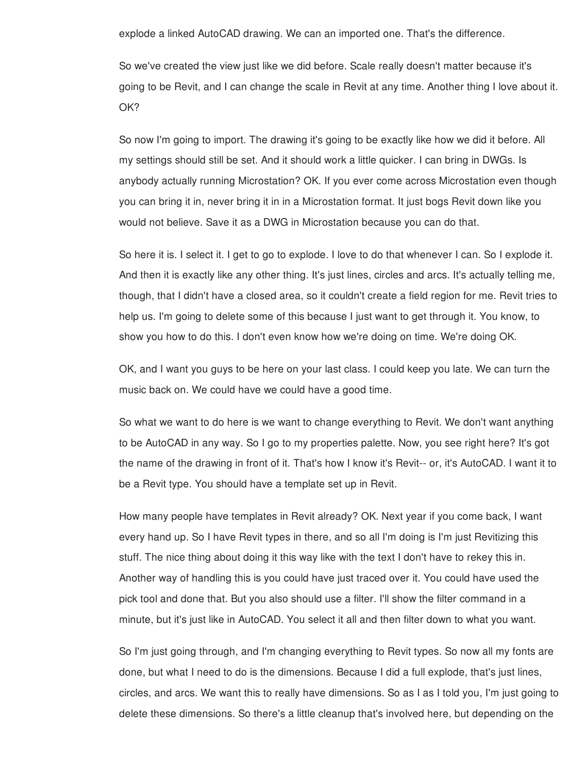explode a linked AutoCAD drawing. We can an imported one. That's the difference.

So we've created the view just like we did before. Scale really doesn't matter because it's going to be Revit, and I can change the scale in Revit at any time. Another thing I love about it. OK?

So now I'm going to import. The drawing it's going to be exactly like how we did it before. All my settings should still be set. And it should work a little quicker. I can bring in DWGs. Is anybody actually running Microstation? OK. If you ever come across Microstation even though you can bring it in, never bring it in in a Microstation format. It just bogs Revit down like you would not believe. Save it as a DWG in Microstation because you can do that.

So here it is. I select it. I get to go to explode. I love to do that whenever I can. So I explode it. And then it is exactly like any other thing. It's just lines, circles and arcs. It's actually telling me, though, that I didn't have a closed area, so it couldn't create a field region for me. Revit tries to help us. I'm going to delete some of this because I just want to get through it. You know, to show you how to do this. I don't even know how we're doing on time. We're doing OK.

OK, and I want you guys to be here on your last class. I could keep you late. We can turn the music back on. We could have we could have a good time.

So what we want to do here is we want to change everything to Revit. We don't want anything to be AutoCAD in any way. So I go to my properties palette. Now, you see right here? It's got the name of the drawing in front of it. That's how I know it's Revit-- or, it's AutoCAD. I want it to be a Revit type. You should have a template set up in Revit.

How many people have templates in Revit already? OK. Next year if you come back, I want every hand up. So I have Revit types in there, and so all I'm doing is I'm just Revitizing this stuff. The nice thing about doing it this way like with the text I don't have to rekey this in. Another way of handling this is you could have just traced over it. You could have used the pick tool and done that. But you also should use a filter. I'll show the filter command in a minute, but it's just like in AutoCAD. You select it all and then filter down to what you want.

So I'm just going through, and I'm changing everything to Revit types. So now all my fonts are done, but what I need to do is the dimensions. Because I did a full explode, that's just lines, circles, and arcs. We want this to really have dimensions. So as I as I told you, I'm just going to delete these dimensions. So there's a little cleanup that's involved here, but depending on the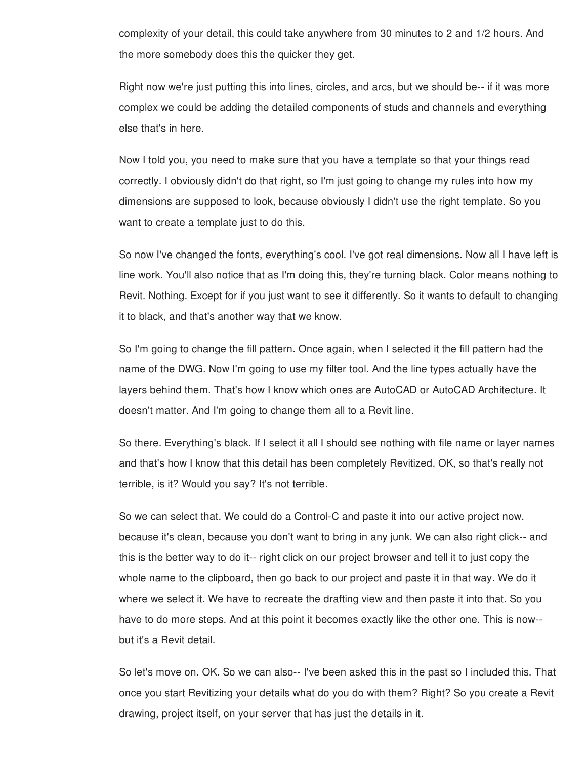complexity of your detail, this could take anywhere from 30 minutes to 2 and 1/2 hours. And the more somebody does this the quicker they get.

Right now we're just putting this into lines, circles, and arcs, but we should be-- if it was more complex we could be adding the detailed components of studs and channels and everything else that's in here.

Now I told you, you need to make sure that you have a template so that your things read correctly. I obviously didn't do that right, so I'm just going to change my rules into how my dimensions are supposed to look, because obviously I didn't use the right template. So you want to create a template just to do this.

So now I've changed the fonts, everything's cool. I've got real dimensions. Now all I have left is line work. You'll also notice that as I'm doing this, they're turning black. Color means nothing to Revit. Nothing. Except for if you just want to see it differently. So it wants to default to changing it to black, and that's another way that we know.

So I'm going to change the fill pattern. Once again, when I selected it the fill pattern had the name of the DWG. Now I'm going to use my filter tool. And the line types actually have the layers behind them. That's how I know which ones are AutoCAD or AutoCAD Architecture. It doesn't matter. And I'm going to change them all to a Revit line.

So there. Everything's black. If I select it all I should see nothing with file name or layer names and that's how I know that this detail has been completely Revitized. OK, so that's really not terrible, is it? Would you say? It's not terrible.

So we can select that. We could do a Control-C and paste it into our active project now, because it's clean, because you don't want to bring in any junk. We can also right click-- and this is the better way to do it-- right click on our project browser and tell it to just copy the whole name to the clipboard, then go back to our project and paste it in that way. We do it where we select it. We have to recreate the drafting view and then paste it into that. So you have to do more steps. And at this point it becomes exactly like the other one. This is now- but it's a Revit detail.

So let's move on. OK. So we can also-- I've been asked this in the past so I included this. That once you start Revitizing your details what do you do with them? Right? So you create a Revit drawing, project itself, on your server that has just the details in it.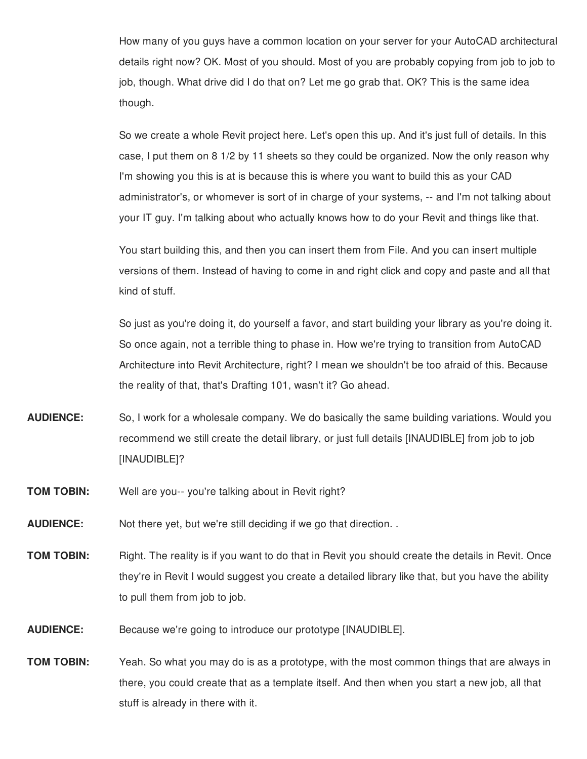How many of you guys have a common location on your server for your AutoCAD architectural details right now? OK. Most of you should. Most of you are probably copying from job to job to job, though. What drive did I do that on? Let me go grab that. OK? This is the same idea though.

So we create a whole Revit project here. Let's open this up. And it's just full of details. In this case, I put them on 8 1/2 by 11 sheets so they could be organized. Now the only reason why I'm showing you this is at is because this is where you want to build this as your CAD administrator's, or whomever is sort of in charge of your systems, -- and I'm not talking about your IT guy. I'm talking about who actually knows how to do your Revit and things like that.

You start building this, and then you can insert them from File. And you can insert multiple versions of them. Instead of having to come in and right click and copy and paste and all that kind of stuff.

So just as you're doing it, do yourself a favor, and start building your library as you're doing it. So once again, not a terrible thing to phase in. How we're trying to transition from AutoCAD Architecture into Revit Architecture, right? I mean we shouldn't be too afraid of this. Because the reality of that, that's Drafting 101, wasn't it? Go ahead.

- **AUDIENCE:** So, I work for a wholesale company. We do basically the same building variations. Would you recommend we still create the detail library, or just full details [INAUDIBLE] from job to job [INAUDIBLE]?
- **TOM TOBIN:** Well are you-- you're talking about in Revit right?
- **AUDIENCE:** Not there yet, but we're still deciding if we go that direction. .
- **TOM TOBIN:** Right. The reality is if you want to do that in Revit you should create the details in Revit. Once they're in Revit I would suggest you create a detailed library like that, but you have the ability to pull them from job to job.
- **AUDIENCE:** Because we're going to introduce our prototype [INAUDIBLE].
- **TOM TOBIN:** Yeah. So what you may do is as a prototype, with the most common things that are always in there, you could create that as a template itself. And then when you start a new job, all that stuff is already in there with it.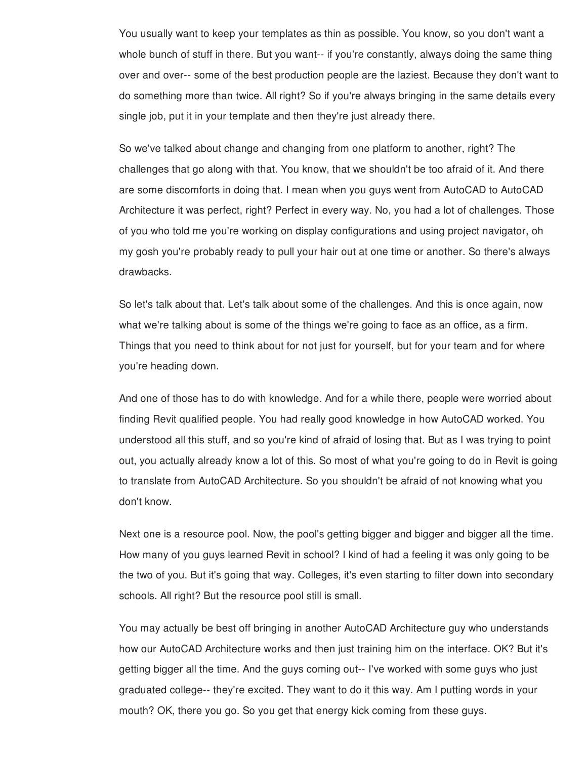You usually want to keep your templates as thin as possible. You know, so you don't want a whole bunch of stuff in there. But you want-- if you're constantly, always doing the same thing over and over-- some of the best production people are the laziest. Because they don't want to do something more than twice. All right? So if you're always bringing in the same details every single job, put it in your template and then they're just already there.

So we've talked about change and changing from one platform to another, right? The challenges that go along with that. You know, that we shouldn't be too afraid of it. And there are some discomforts in doing that. I mean when you guys went from AutoCAD to AutoCAD Architecture it was perfect, right? Perfect in every way. No, you had a lot of challenges. Those of you who told me you're working on display configurations and using project navigator, oh my gosh you're probably ready to pull your hair out at one time or another. So there's always drawbacks.

So let's talk about that. Let's talk about some of the challenges. And this is once again, now what we're talking about is some of the things we're going to face as an office, as a firm. Things that you need to think about for not just for yourself, but for your team and for where you're heading down.

And one of those has to do with knowledge. And for a while there, people were worried about finding Revit qualified people. You had really good knowledge in how AutoCAD worked. You understood all this stuff, and so you're kind of afraid of losing that. But as I was trying to point out, you actually already know a lot of this. So most of what you're going to do in Revit is going to translate from AutoCAD Architecture. So you shouldn't be afraid of not knowing what you don't know.

Next one is a resource pool. Now, the pool's getting bigger and bigger and bigger all the time. How many of you guys learned Revit in school? I kind of had a feeling it was only going to be the two of you. But it's going that way. Colleges, it's even starting to filter down into secondary schools. All right? But the resource pool still is small.

You may actually be best off bringing in another AutoCAD Architecture guy who understands how our AutoCAD Architecture works and then just training him on the interface. OK? But it's getting bigger all the time. And the guys coming out-- I've worked with some guys who just graduated college-- they're excited. They want to do it this way. Am I putting words in your mouth? OK, there you go. So you get that energy kick coming from these guys.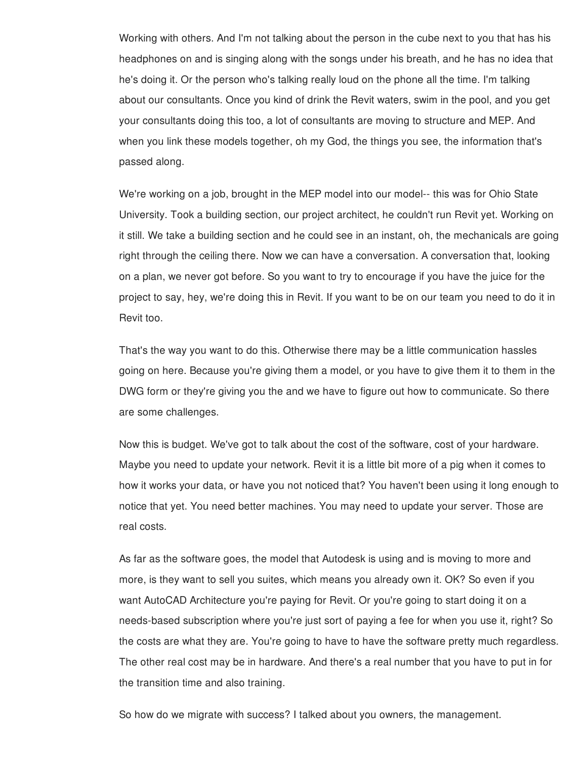Working with others. And I'm not talking about the person in the cube next to you that has his headphones on and is singing along with the songs under his breath, and he has no idea that he's doing it. Or the person who's talking really loud on the phone all the time. I'm talking about our consultants. Once you kind of drink the Revit waters, swim in the pool, and you get your consultants doing this too, a lot of consultants are moving to structure and MEP. And when you link these models together, oh my God, the things you see, the information that's passed along.

We're working on a job, brought in the MEP model into our model-- this was for Ohio State University. Took a building section, our project architect, he couldn't run Revit yet. Working on it still. We take a building section and he could see in an instant, oh, the mechanicals are going right through the ceiling there. Now we can have a conversation. A conversation that, looking on a plan, we never got before. So you want to try to encourage if you have the juice for the project to say, hey, we're doing this in Revit. If you want to be on our team you need to do it in Revit too.

That's the way you want to do this. Otherwise there may be a little communication hassles going on here. Because you're giving them a model, or you have to give them it to them in the DWG form or they're giving you the and we have to figure out how to communicate. So there are some challenges.

Now this is budget. We've got to talk about the cost of the software, cost of your hardware. Maybe you need to update your network. Revit it is a little bit more of a pig when it comes to how it works your data, or have you not noticed that? You haven't been using it long enough to notice that yet. You need better machines. You may need to update your server. Those are real costs.

As far as the software goes, the model that Autodesk is using and is moving to more and more, is they want to sell you suites, which means you already own it. OK? So even if you want AutoCAD Architecture you're paying for Revit. Or you're going to start doing it on a needs-based subscription where you're just sort of paying a fee for when you use it, right? So the costs are what they are. You're going to have to have the software pretty much regardless. The other real cost may be in hardware. And there's a real number that you have to put in for the transition time and also training.

So how do we migrate with success? I talked about you owners, the management.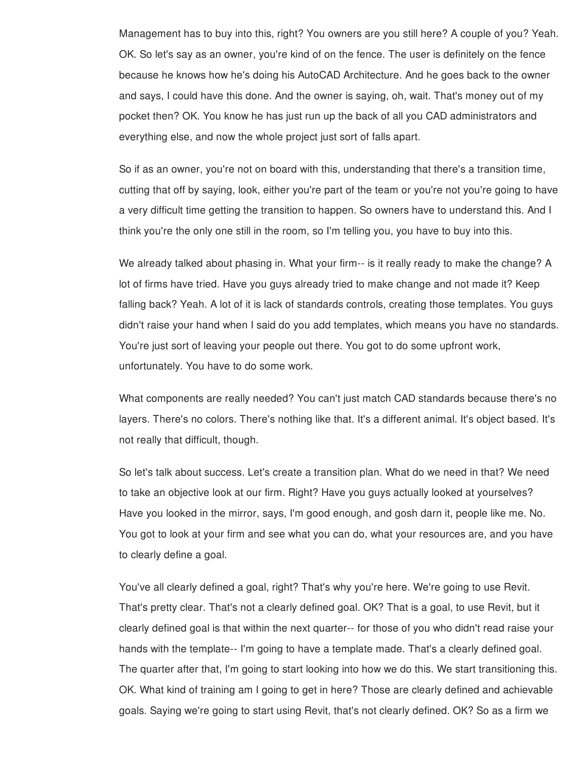Management has to buy into this, right? You owners are you still here? A couple of you? Yeah. OK. So let's say as an owner, you're kind of on the fence. The user is definitely on the fence because he knows how he's doing his AutoCAD Architecture. And he goes back to the owner and says, I could have this done. And the owner is saying, oh, wait. That's money out of my pocket then? OK. You know he has just run up the back of all you CAD administrators and everything else, and now the whole project just sort of falls apart.

So if as an owner, you're not on board with this, understanding that there's a transition time, cutting that off by saying, look, either you're part of the team or you're not you're going to have a very difficult time getting the transition to happen. So owners have to understand this. And I think you're the only one still in the room, so I'm telling you, you have to buy into this.

We already talked about phasing in. What your firm-- is it really ready to make the change? A lot of firms have tried. Have you guys already tried to make change and not made it? Keep falling back? Yeah. A lot of it is lack of standards controls, creating those templates. You guys didn't raise your hand when I said do you add templates, which means you have no standards. You're just sort of leaving your people out there. You got to do some upfront work, unfortunately. You have to do some work.

What components are really needed? You can't just match CAD standards because there's no layers. There's no colors. There's nothing like that. It's a different animal. It's object based. It's not really that difficult, though.

So let's talk about success. Let's create a transition plan. What do we need in that? We need to take an objective look at our firm. Right? Have you guys actually looked at yourselves? Have you looked in the mirror, says, I'm good enough, and gosh darn it, people like me. No. You got to look at your firm and see what you can do, what your resources are, and you have to clearly define a goal.

You've all clearly defined a goal, right? That's why you're here. We're going to use Revit. That's pretty clear. That's not a clearly defined goal. OK? That is a goal, to use Revit, but it clearly defined goal is that within the next quarter-- for those of you who didn't read raise your hands with the template-- I'm going to have a template made. That's a clearly defined goal. The quarter after that, I'm going to start looking into how we do this. We start transitioning this. OK. What kind of training am I going to get in here? Those are clearly defined and achievable goals. Saying we're going to start using Revit, that's not clearly defined. OK? So as a firm we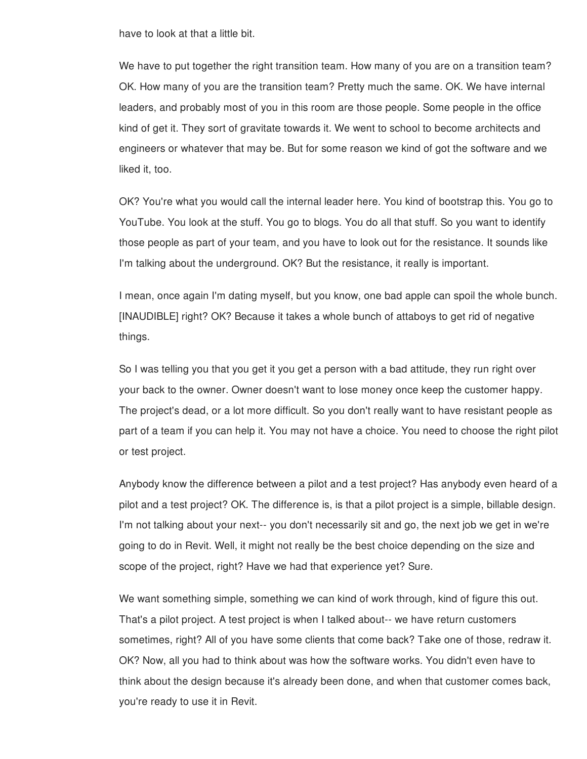have to look at that a little bit.

We have to put together the right transition team. How many of you are on a transition team? OK. How many of you are the transition team? Pretty much the same. OK. We have internal leaders, and probably most of you in this room are those people. Some people in the office kind of get it. They sort of gravitate towards it. We went to school to become architects and engineers or whatever that may be. But for some reason we kind of got the software and we liked it, too.

OK? You're what you would call the internal leader here. You kind of bootstrap this. You go to YouTube. You look at the stuff. You go to blogs. You do all that stuff. So you want to identify those people as part of your team, and you have to look out for the resistance. It sounds like I'm talking about the underground. OK? But the resistance, it really is important.

I mean, once again I'm dating myself, but you know, one bad apple can spoil the whole bunch. [INAUDIBLE] right? OK? Because it takes a whole bunch of attaboys to get rid of negative things.

So I was telling you that you get it you get a person with a bad attitude, they run right over your back to the owner. Owner doesn't want to lose money once keep the customer happy. The project's dead, or a lot more difficult. So you don't really want to have resistant people as part of a team if you can help it. You may not have a choice. You need to choose the right pilot or test project.

Anybody know the difference between a pilot and a test project? Has anybody even heard of a pilot and a test project? OK. The difference is, is that a pilot project is a simple, billable design. I'm not talking about your next-- you don't necessarily sit and go, the next job we get in we're going to do in Revit. Well, it might not really be the best choice depending on the size and scope of the project, right? Have we had that experience yet? Sure.

We want something simple, something we can kind of work through, kind of figure this out. That's a pilot project. A test project is when I talked about-- we have return customers sometimes, right? All of you have some clients that come back? Take one of those, redraw it. OK? Now, all you had to think about was how the software works. You didn't even have to think about the design because it's already been done, and when that customer comes back, you're ready to use it in Revit.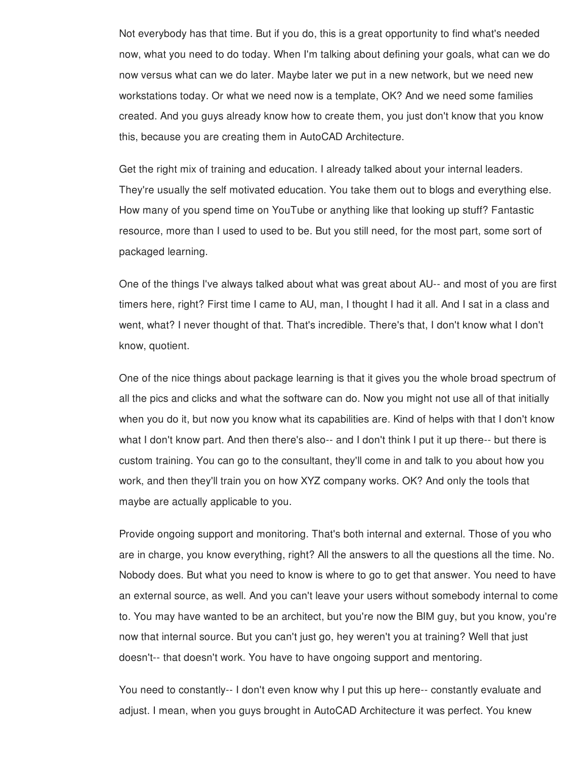Not everybody has that time. But if you do, this is a great opportunity to find what's needed now, what you need to do today. When I'm talking about defining your goals, what can we do now versus what can we do later. Maybe later we put in a new network, but we need new workstations today. Or what we need now is a template, OK? And we need some families created. And you guys already know how to create them, you just don't know that you know this, because you are creating them in AutoCAD Architecture.

Get the right mix of training and education. I already talked about your internal leaders. They're usually the self motivated education. You take them out to blogs and everything else. How many of you spend time on YouTube or anything like that looking up stuff? Fantastic resource, more than I used to used to be. But you still need, for the most part, some sort of packaged learning.

One of the things I've always talked about what was great about AU-- and most of you are first timers here, right? First time I came to AU, man, I thought I had it all. And I sat in a class and went, what? I never thought of that. That's incredible. There's that, I don't know what I don't know, quotient.

One of the nice things about package learning is that it gives you the whole broad spectrum of all the pics and clicks and what the software can do. Now you might not use all of that initially when you do it, but now you know what its capabilities are. Kind of helps with that I don't know what I don't know part. And then there's also-- and I don't think I put it up there-- but there is custom training. You can go to the consultant, they'll come in and talk to you about how you work, and then they'll train you on how XYZ company works. OK? And only the tools that maybe are actually applicable to you.

Provide ongoing support and monitoring. That's both internal and external. Those of you who are in charge, you know everything, right? All the answers to all the questions all the time. No. Nobody does. But what you need to know is where to go to get that answer. You need to have an external source, as well. And you can't leave your users without somebody internal to come to. You may have wanted to be an architect, but you're now the BIM guy, but you know, you're now that internal source. But you can't just go, hey weren't you at training? Well that just doesn't-- that doesn't work. You have to have ongoing support and mentoring.

You need to constantly-- I don't even know why I put this up here-- constantly evaluate and adjust. I mean, when you guys brought in AutoCAD Architecture it was perfect. You knew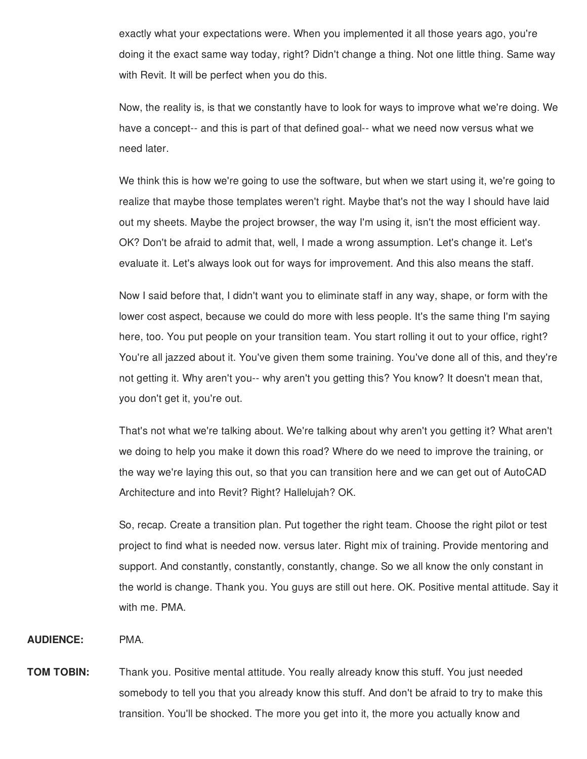exactly what your expectations were. When you implemented it all those years ago, you're doing it the exact same way today, right? Didn't change a thing. Not one little thing. Same way with Revit. It will be perfect when you do this.

Now, the reality is, is that we constantly have to look for ways to improve what we're doing. We have a concept-- and this is part of that defined goal-- what we need now versus what we need later.

We think this is how we're going to use the software, but when we start using it, we're going to realize that maybe those templates weren't right. Maybe that's not the way I should have laid out my sheets. Maybe the project browser, the way I'm using it, isn't the most efficient way. OK? Don't be afraid to admit that, well, I made a wrong assumption. Let's change it. Let's evaluate it. Let's always look out for ways for improvement. And this also means the staff.

Now I said before that, I didn't want you to eliminate staff in any way, shape, or form with the lower cost aspect, because we could do more with less people. It's the same thing I'm saying here, too. You put people on your transition team. You start rolling it out to your office, right? You're all jazzed about it. You've given them some training. You've done all of this, and they're not getting it. Why aren't you-- why aren't you getting this? You know? It doesn't mean that, you don't get it, you're out.

That's not what we're talking about. We're talking about why aren't you getting it? What aren't we doing to help you make it down this road? Where do we need to improve the training, or the way we're laying this out, so that you can transition here and we can get out of AutoCAD Architecture and into Revit? Right? Hallelujah? OK.

So, recap. Create a transition plan. Put together the right team. Choose the right pilot or test project to find what is needed now. versus later. Right mix of training. Provide mentoring and support. And constantly, constantly, constantly, change. So we all know the only constant in the world is change. Thank you. You guys are still out here. OK. Positive mental attitude. Say it with me. PMA.

**AUDIENCE:** PMA.

**TOM TOBIN:** Thank you. Positive mental attitude. You really already know this stuff. You just needed somebody to tell you that you already know this stuff. And don't be afraid to try to make this transition. You'll be shocked. The more you get into it, the more you actually know and